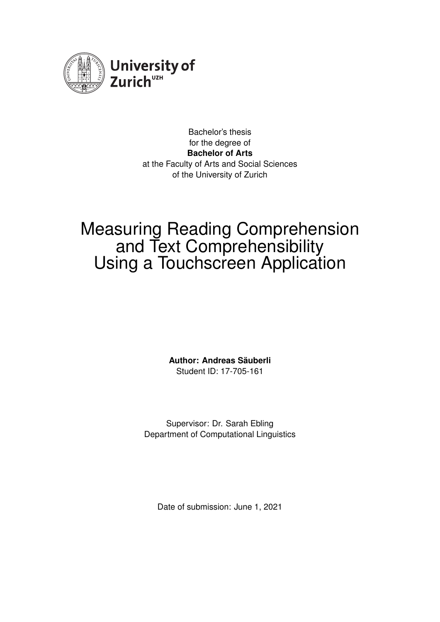

Bachelor's thesis for the degree of **Bachelor of Arts** at the Faculty of Arts and Social Sciences of the University of Zurich

## Measuring Reading Comprehension and Text Comprehensibility Using a Touchscreen Application

**Author: Andreas Säuberli** Student ID: 17-705-161

Supervisor: Dr. Sarah Ebling Department of Computational Linguistics

Date of submission: June 1, 2021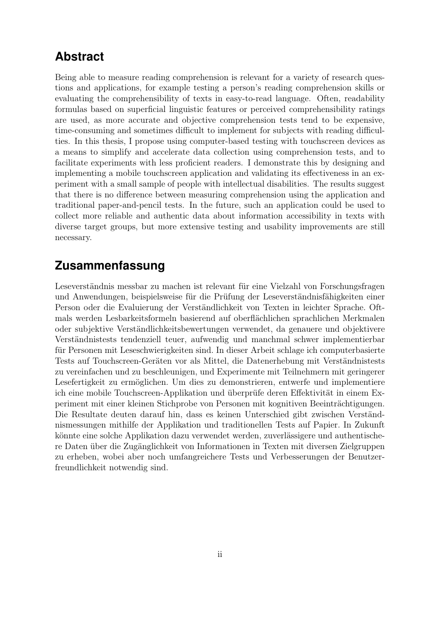### <span id="page-1-0"></span>**Abstract**

Being able to measure reading comprehension is relevant for a variety of research questions and applications, for example testing a person's reading comprehension skills or evaluating the comprehensibility of texts in easy-to-read language. Often, readability formulas based on superficial linguistic features or perceived comprehensibility ratings are used, as more accurate and objective comprehension tests tend to be expensive, time-consuming and sometimes difficult to implement for subjects with reading difficulties. In this thesis, I propose using computer-based testing with touchscreen devices as a means to simplify and accelerate data collection using comprehension tests, and to facilitate experiments with less proficient readers. I demonstrate this by designing and implementing a mobile touchscreen application and validating its effectiveness in an experiment with a small sample of people with intellectual disabilities. The results suggest that there is no difference between measuring comprehension using the application and traditional paper-and-pencil tests. In the future, such an application could be used to collect more reliable and authentic data about information accessibility in texts with diverse target groups, but more extensive testing and usability improvements are still necessary.

### **Zusammenfassung**

Leseverständnis messbar zu machen ist relevant für eine Vielzahl von Forschungsfragen und Anwendungen, beispielsweise für die Prüfung der Leseverständnisfähigkeiten einer Person oder die Evaluierung der Verständlichkeit von Texten in leichter Sprache. Oftmals werden Lesbarkeitsformeln basierend auf oberflächlichen sprachlichen Merkmalen oder subjektive Verständlichkeitsbewertungen verwendet, da genauere und objektivere Verständnistests tendenziell teuer, aufwendig und manchmal schwer implementierbar für Personen mit Leseschwierigkeiten sind. In dieser Arbeit schlage ich computerbasierte Tests auf Touchscreen-Geräten vor als Mittel, die Datenerhebung mit Verständnistests zu vereinfachen und zu beschleunigen, und Experimente mit Teilnehmern mit geringerer Lesefertigkeit zu ermöglichen. Um dies zu demonstrieren, entwerfe und implementiere ich eine mobile Touchscreen-Applikation und überprüfe deren Effektivität in einem Experiment mit einer kleinen Stichprobe von Personen mit kognitiven Beeinträchtigungen. Die Resultate deuten darauf hin, dass es keinen Unterschied gibt zwischen Verständnismessungen mithilfe der Applikation und traditionellen Tests auf Papier. In Zukunft könnte eine solche Applikation dazu verwendet werden, zuverlässigere und authentischere Daten über die Zugänglichkeit von Informationen in Texten mit diversen Zielgruppen zu erheben, wobei aber noch umfangreichere Tests und Verbesserungen der Benutzerfreundlichkeit notwendig sind.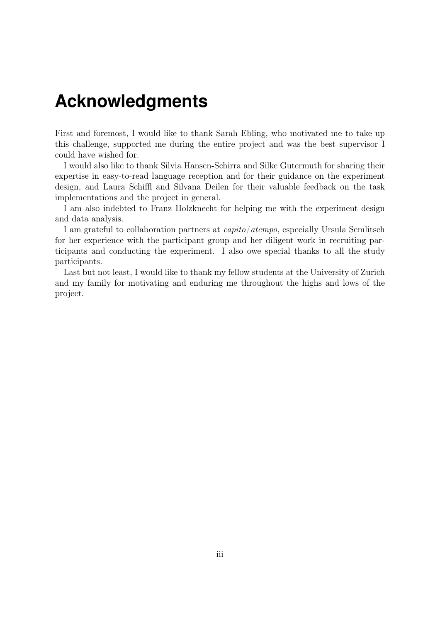## <span id="page-2-0"></span>**Acknowledgments**

First and foremost, I would like to thank Sarah Ebling, who motivated me to take up this challenge, supported me during the entire project and was the best supervisor I could have wished for.

I would also like to thank Silvia Hansen-Schirra and Silke Gutermuth for sharing their expertise in easy-to-read language reception and for their guidance on the experiment design, and Laura Schiffl and Silvana Deilen for their valuable feedback on the task implementations and the project in general.

I am also indebted to Franz Holzknecht for helping me with the experiment design and data analysis.

I am grateful to collaboration partners at capito/atempo, especially Ursula Semlitsch for her experience with the participant group and her diligent work in recruiting participants and conducting the experiment. I also owe special thanks to all the study participants.

Last but not least, I would like to thank my fellow students at the University of Zurich and my family for motivating and enduring me throughout the highs and lows of the project.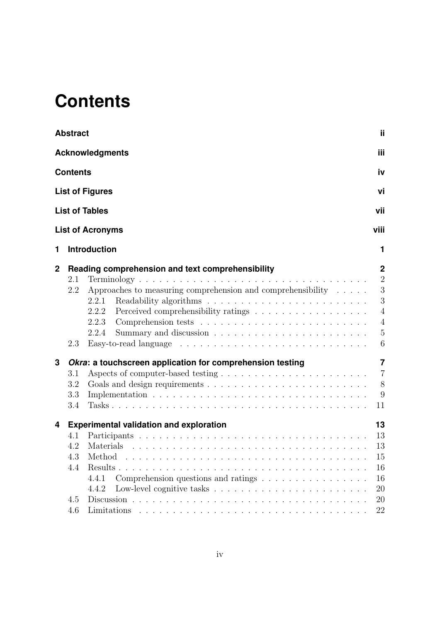# <span id="page-3-0"></span>**Contents**

|             | <b>Abstract</b>                 |                                                                                                                                                                                                      | ij.                                                                                                                                                                                                                                            |  |  |  |  |  |
|-------------|---------------------------------|------------------------------------------------------------------------------------------------------------------------------------------------------------------------------------------------------|------------------------------------------------------------------------------------------------------------------------------------------------------------------------------------------------------------------------------------------------|--|--|--|--|--|
|             |                                 | <b>Acknowledgments</b>                                                                                                                                                                               | iii                                                                                                                                                                                                                                            |  |  |  |  |  |
|             | <b>Contents</b>                 |                                                                                                                                                                                                      | iv                                                                                                                                                                                                                                             |  |  |  |  |  |
|             | <b>List of Figures</b>          |                                                                                                                                                                                                      |                                                                                                                                                                                                                                                |  |  |  |  |  |
|             |                                 | <b>List of Tables</b>                                                                                                                                                                                | vi<br>vii<br>viii<br>1<br>$\mathbf 2$<br>$\overline{2}$<br>3<br>3<br>$\overline{4}$<br>$\overline{4}$<br>$\overline{5}$<br>$6\,$<br>$\overline{7}$<br>$\overline{7}$<br>$8\,$<br>9<br>11<br>13<br>13<br>13<br>15<br>16<br>16<br>20<br>20<br>22 |  |  |  |  |  |
|             |                                 | <b>List of Acronyms</b>                                                                                                                                                                              |                                                                                                                                                                                                                                                |  |  |  |  |  |
| 1           |                                 | <b>Introduction</b>                                                                                                                                                                                  |                                                                                                                                                                                                                                                |  |  |  |  |  |
| $\mathbf 2$ | 2.1<br>2.2<br>2.3               | Reading comprehension and text comprehensibility<br>Approaches to measuring comprehension and comprehensibility $\dots$ .<br>2.2.1<br>2.2.2<br>Perceived comprehensibility ratings<br>2.2.3<br>2.2.4 |                                                                                                                                                                                                                                                |  |  |  |  |  |
| 3           | 3.1<br>3.2<br>3.3<br>3.4        | Okra: a touchscreen application for comprehension testing                                                                                                                                            |                                                                                                                                                                                                                                                |  |  |  |  |  |
| 4           | 4.1<br>4.2<br>4.3<br>4.4<br>4.5 | <b>Experimental validation and exploration</b><br>Materials<br>Comprehension questions and ratings<br>4.4.1<br>4.4.2                                                                                 |                                                                                                                                                                                                                                                |  |  |  |  |  |
|             | 4.6                             |                                                                                                                                                                                                      |                                                                                                                                                                                                                                                |  |  |  |  |  |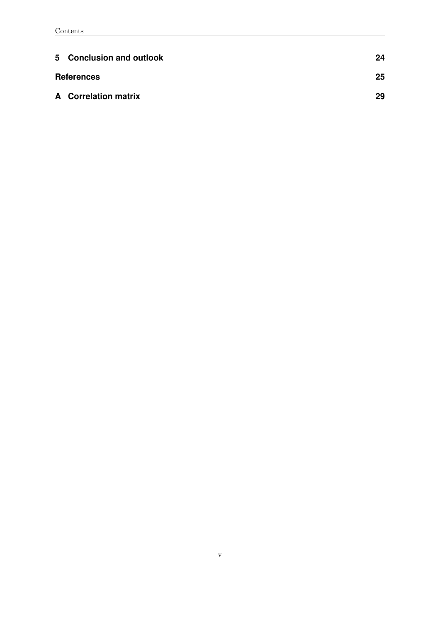| 5 Conclusion and outlook    | 24 |
|-----------------------------|----|
| <b>References</b>           | 25 |
| <b>A</b> Correlation matrix | 29 |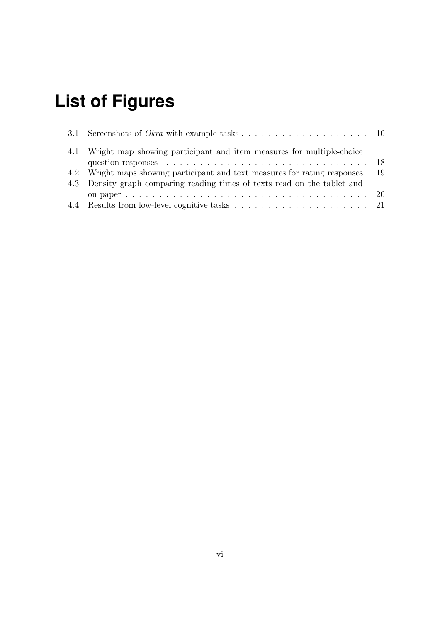# <span id="page-5-0"></span>**List of Figures**

| 4.1 Wright map showing participant and item measures for multiple-choice   |    |
|----------------------------------------------------------------------------|----|
|                                                                            |    |
| 4.2 Wright maps showing participant and text measures for rating responses | 19 |
| 4.3 Density graph comparing reading times of texts read on the tablet and  |    |
|                                                                            |    |
|                                                                            |    |
|                                                                            |    |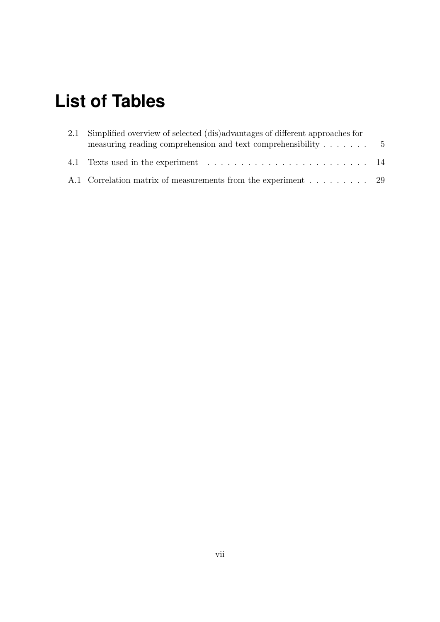# <span id="page-6-0"></span>**List of Tables**

| 2.1 Simplified overview of selected (dis)advantages of different approaches for |  |  |  |  |
|---------------------------------------------------------------------------------|--|--|--|--|
| measuring reading comprehension and text comprehensibility $\dots \dots$        |  |  |  |  |
|                                                                                 |  |  |  |  |
| A.1 Correlation matrix of measurements from the experiment 29                   |  |  |  |  |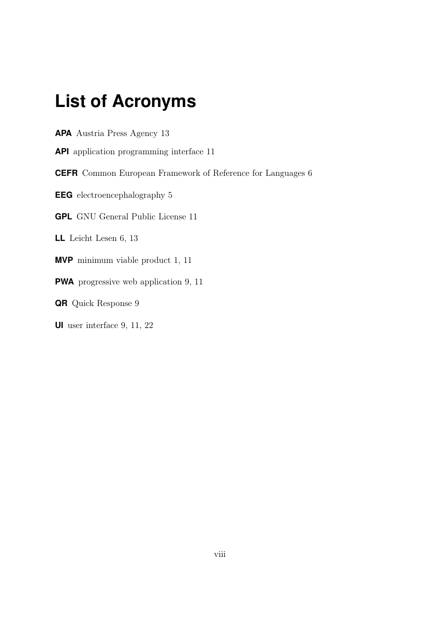## <span id="page-7-0"></span>**List of Acronyms**

<span id="page-7-10"></span>**APA** Austria Press Agency [13](#page-20-3)

<span id="page-7-8"></span>**API** application programming interface [11](#page-18-1)

<span id="page-7-4"></span>**CEFR** Common European Framework of Reference for Languages [6](#page-13-1)

<span id="page-7-2"></span>**EEG** electroencephalography [5](#page-12-2)

<span id="page-7-9"></span>**GPL** GNU General Public License [11](#page-18-1)

<span id="page-7-3"></span>**LL** Leicht Lesen [6,](#page-13-1) [13](#page-20-3)

<span id="page-7-1"></span>**MVP** minimum viable product [1,](#page-8-1) [11](#page-18-1)

<span id="page-7-6"></span>**PWA** progressive web application [9,](#page-16-1) [11](#page-18-1)

<span id="page-7-7"></span>**QR** Quick Response [9](#page-16-1)

<span id="page-7-5"></span>**UI** user interface [9,](#page-16-1) [11,](#page-18-1) [22](#page-29-1)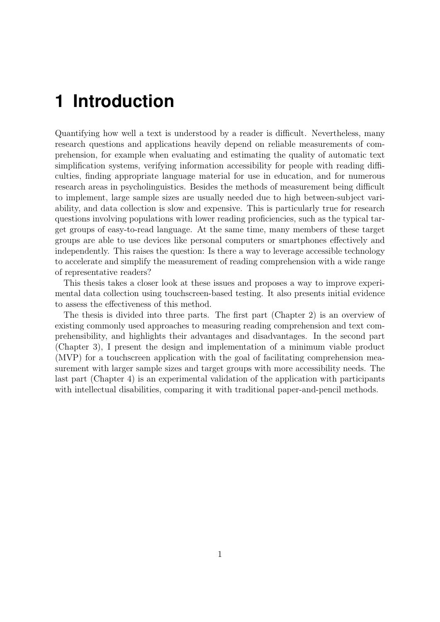# <span id="page-8-1"></span><span id="page-8-0"></span>**1 Introduction**

Quantifying how well a text is understood by a reader is difficult. Nevertheless, many research questions and applications heavily depend on reliable measurements of comprehension, for example when evaluating and estimating the quality of automatic text simplification systems, verifying information accessibility for people with reading difficulties, finding appropriate language material for use in education, and for numerous research areas in psycholinguistics. Besides the methods of measurement being difficult to implement, large sample sizes are usually needed due to high between-subject variability, and data collection is slow and expensive. This is particularly true for research questions involving populations with lower reading proficiencies, such as the typical target groups of easy-to-read language. At the same time, many members of these target groups are able to use devices like personal computers or smartphones effectively and independently. This raises the question: Is there a way to leverage accessible technology to accelerate and simplify the measurement of reading comprehension with a wide range of representative readers?

This thesis takes a closer look at these issues and proposes a way to improve experimental data collection using touchscreen-based testing. It also presents initial evidence to assess the effectiveness of this method.

The thesis is divided into three parts. The first part (Chapter [2\)](#page-9-0) is an overview of existing commonly used approaches to measuring reading comprehension and text comprehensibility, and highlights their advantages and disadvantages. In the second part (Chapter [3\)](#page-14-0), I present the design and implementation of a [minimum viable product](#page-7-1) [\(MVP\)](#page-7-1) for a touchscreen application with the goal of facilitating comprehension measurement with larger sample sizes and target groups with more accessibility needs. The last part (Chapter [4\)](#page-20-0) is an experimental validation of the application with participants with intellectual disabilities, comparing it with traditional paper-and-pencil methods.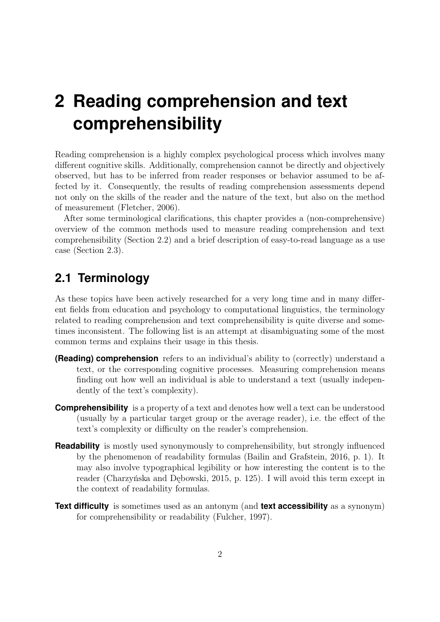# <span id="page-9-0"></span>**2 Reading comprehension and text comprehensibility**

Reading comprehension is a highly complex psychological process which involves many different cognitive skills. Additionally, comprehension cannot be directly and objectively observed, but has to be inferred from reader responses or behavior assumed to be affected by it. Consequently, the results of reading comprehension assessments depend not only on the skills of the reader and the nature of the text, but also on the method of measurement [\(Fletcher, 2006\)](#page-33-0).

After some terminological clarifications, this chapter provides a (non-comprehensive) overview of the common methods used to measure reading comprehension and text comprehensibility (Section [2.2\)](#page-10-0) and a brief description of easy-to-read language as a use case (Section [2.3\)](#page-13-0).

### <span id="page-9-1"></span>**2.1 Terminology**

As these topics have been actively researched for a very long time and in many different fields from education and psychology to computational linguistics, the terminology related to reading comprehension and text comprehensibility is quite diverse and sometimes inconsistent. The following list is an attempt at disambiguating some of the most common terms and explains their usage in this thesis.

- **(Reading) comprehension** refers to an individual's ability to (correctly) understand a text, or the corresponding cognitive processes. Measuring comprehension means finding out how well an individual is able to understand a text (usually independently of the text's complexity).
- **Comprehensibility** is a property of a text and denotes how well a text can be understood (usually by a particular target group or the average reader), i.e. the effect of the text's complexity or difficulty on the reader's comprehension.
- **Readability** is mostly used synonymously to comprehensibility, but strongly influenced by the phenomenon of readability formulas [\(Bailin and Grafstein, 2016,](#page-32-1) p. 1). It may also involve typographical legibility or how interesting the content is to the reader [\(Charzyńska and Dębowski, 2015,](#page-32-2) p. 125). I will avoid this term except in the context of readability formulas.
- **Text difficulty** is sometimes used as an antonym (and **text accessibility** as a synonym) for comprehensibility or readability [\(Fulcher, 1997\)](#page-33-1).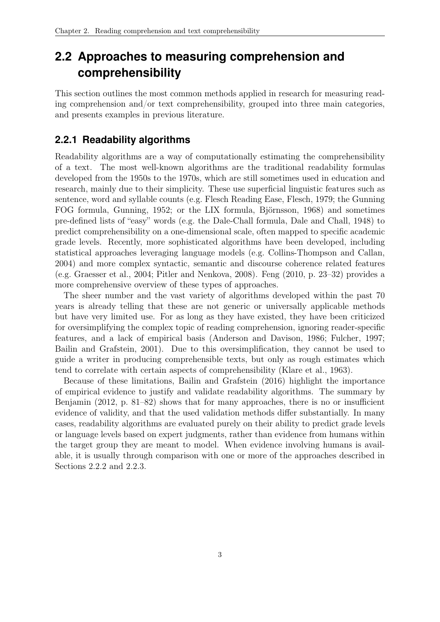## <span id="page-10-0"></span>**2.2 Approaches to measuring comprehension and comprehensibility**

This section outlines the most common methods applied in research for measuring reading comprehension and/or text comprehensibility, grouped into three main categories, and presents examples in previous literature.

#### <span id="page-10-1"></span>**2.2.1 Readability algorithms**

Readability algorithms are a way of computationally estimating the comprehensibility of a text. The most well-known algorithms are the traditional readability formulas developed from the 1950s to the 1970s, which are still sometimes used in education and research, mainly due to their simplicity. These use superficial linguistic features such as sentence, word and syllable counts (e.g. Flesch Reading Ease, [Flesch, 1979;](#page-33-2) the Gunning FOG formula, [Gunning, 1952;](#page-33-3) or the LIX formula, [Björnsson, 1968\)](#page-32-3) and sometimes pre-defined lists of "easy" words (e.g. the Dale-Chall formula, [Dale and Chall, 1948\)](#page-32-4) to predict comprehensibility on a one-dimensional scale, often mapped to specific academic grade levels. Recently, more sophisticated algorithms have been developed, including statistical approaches leveraging language models (e.g. [Collins-Thompson and Callan,](#page-32-5) [2004\)](#page-32-5) and more complex syntactic, semantic and discourse coherence related features (e.g. [Graesser et al., 2004;](#page-33-4) [Pitler and Nenkova, 2008\)](#page-34-0). [Feng](#page-33-5) [\(2010,](#page-33-5) p. 23–32) provides a more comprehensive overview of these types of approaches.

The sheer number and the vast variety of algorithms developed within the past 70 years is already telling that these are not generic or universally applicable methods but have very limited use. For as long as they have existed, they have been criticized for oversimplifying the complex topic of reading comprehension, ignoring reader-specific features, and a lack of empirical basis [\(Anderson and Davison, 1986;](#page-32-6) [Fulcher, 1997;](#page-33-1) [Bailin and Grafstein, 2001\)](#page-32-7). Due to this oversimplification, they cannot be used to guide a writer in producing comprehensible texts, but only as rough estimates which tend to correlate with certain aspects of comprehensibility [\(Klare et al., 1963\)](#page-34-1).

Because of these limitations, [Bailin and Grafstein](#page-32-1) [\(2016\)](#page-32-1) highlight the importance of empirical evidence to justify and validate readability algorithms. The summary by [Benjamin](#page-32-8) [\(2012,](#page-32-8) p. 81–82) shows that for many approaches, there is no or insufficient evidence of validity, and that the used validation methods differ substantially. In many cases, readability algorithms are evaluated purely on their ability to predict grade levels or language levels based on expert judgments, rather than evidence from humans within the target group they are meant to model. When evidence involving humans is available, it is usually through comparison with one or more of the approaches described in Sections [2.2.2](#page-11-0) and [2.2.3.](#page-11-1)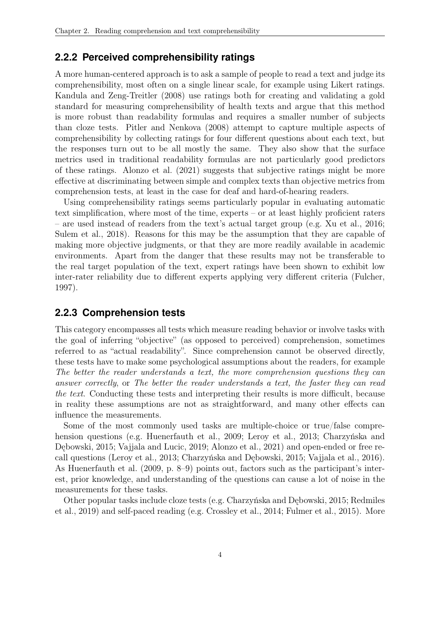#### <span id="page-11-0"></span>**2.2.2 Perceived comprehensibility ratings**

A more human-centered approach is to ask a sample of people to read a text and judge its comprehensibility, most often on a single linear scale, for example using Likert ratings. [Kandula and Zeng-Treitler](#page-34-2) [\(2008\)](#page-34-2) use ratings both for creating and validating a gold standard for measuring comprehensibility of health texts and argue that this method is more robust than readability formulas and requires a smaller number of subjects than cloze tests. [Pitler and Nenkova](#page-34-0) [\(2008\)](#page-34-0) attempt to capture multiple aspects of comprehensibility by collecting ratings for four different questions about each text, but the responses turn out to be all mostly the same. They also show that the surface metrics used in traditional readability formulas are not particularly good predictors of these ratings. [Alonzo et al.](#page-32-9) [\(2021\)](#page-32-9) suggests that subjective ratings might be more effective at discriminating between simple and complex texts than objective metrics from comprehension tests, at least in the case for deaf and hard-of-hearing readers.

Using comprehensibility ratings seems particularly popular in evaluating automatic text simplification, where most of the time, experts – or at least highly proficient raters – are used instead of readers from the text's actual target group (e.g. [Xu et al., 2016;](#page-35-0) [Sulem et al., 2018\)](#page-35-1). Reasons for this may be the assumption that they are capable of making more objective judgments, or that they are more readily available in academic environments. Apart from the danger that these results may not be transferable to the real target population of the text, expert ratings have been shown to exhibit low inter-rater reliability due to different experts applying very different criteria [\(Fulcher,](#page-33-1) [1997\)](#page-33-1).

#### <span id="page-11-1"></span>**2.2.3 Comprehension tests**

This category encompasses all tests which measure reading behavior or involve tasks with the goal of inferring "objective" (as opposed to perceived) comprehension, sometimes referred to as "actual readability". Since comprehension cannot be observed directly, these tests have to make some psychological assumptions about the readers, for example The better the reader understands a text, the more comprehension questions they can answer correctly, or The better the reader understands a text, the faster they can read the text. Conducting these tests and interpreting their results is more difficult, because in reality these assumptions are not as straightforward, and many other effects can influence the measurements.

Some of the most commonly used tasks are multiple-choice or true/false comprehension questions (e.g. [Huenerfauth et al., 2009;](#page-34-3) [Leroy et al., 2013;](#page-34-4) [Charzyńska and](#page-32-2) [Dębowski, 2015;](#page-32-2) [Vajjala and Lucic, 2019;](#page-35-2) [Alonzo et al., 2021\)](#page-32-9) and open-ended or free recall questions [\(Leroy et al., 2013;](#page-34-4) [Charzyńska and Dębowski, 2015;](#page-32-2) [Vajjala et al., 2016\)](#page-35-3). As [Huenerfauth et al.](#page-34-3) [\(2009,](#page-34-3) p. 8–9) points out, factors such as the participant's interest, prior knowledge, and understanding of the questions can cause a lot of noise in the measurements for these tasks.

Other popular tasks include cloze tests (e.g. [Charzyńska and Dębowski, 2015;](#page-32-2) [Redmiles](#page-35-4) [et al., 2019\)](#page-35-4) and self-paced reading (e.g. [Crossley et al., 2014;](#page-32-10) [Fulmer et al., 2015\)](#page-33-6). More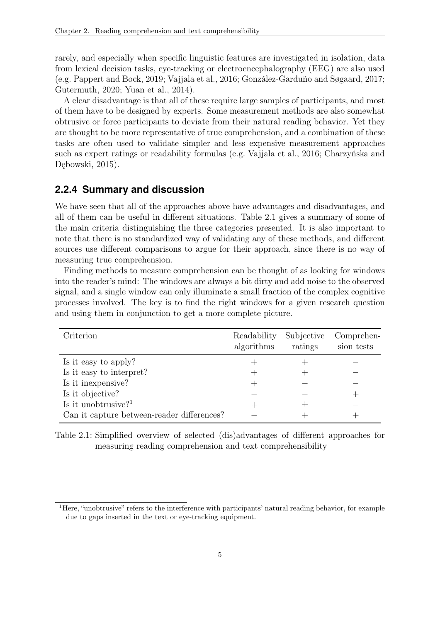<span id="page-12-2"></span>rarely, and especially when specific linguistic features are investigated in isolation, data from lexical decision tasks, eye-tracking or [electroencephalography \(EEG\)](#page-7-2) are also used (e.g. [Pappert and Bock, 2019;](#page-34-5) [Vajjala et al., 2016;](#page-35-3) [González-Garduño and Søgaard, 2017;](#page-33-7) [Gutermuth, 2020;](#page-33-8) [Yuan et al., 2014\)](#page-35-5).

A clear disadvantage is that all of these require large samples of participants, and most of them have to be designed by experts. Some measurement methods are also somewhat obtrusive or force participants to deviate from their natural reading behavior. Yet they are thought to be more representative of true comprehension, and a combination of these tasks are often used to validate simpler and less expensive measurement approaches such as expert ratings or readability formulas (e.g. [Vajjala et al., 2016;](#page-35-3) [Charzyńska and](#page-32-2) [Dębowski, 2015\)](#page-32-2).

#### <span id="page-12-0"></span>**2.2.4 Summary and discussion**

We have seen that all of the approaches above have advantages and disadvantages, and all of them can be useful in different situations. Table [2.1](#page-12-1) gives a summary of some of the main criteria distinguishing the three categories presented. It is also important to note that there is no standardized way of validating any of these methods, and different sources use different comparisons to argue for their approach, since there is no way of measuring true comprehension.

Finding methods to measure comprehension can be thought of as looking for windows into the reader's mind: The windows are always a bit dirty and add noise to the observed signal, and a single window can only illuminate a small fraction of the complex cognitive processes involved. The key is to find the right windows for a given research question and using them in conjunction to get a more complete picture.

<span id="page-12-1"></span>

| Criterion                                  | Readability<br>algorithms | Subjective<br>ratings | Comprehen-<br>sion tests |
|--------------------------------------------|---------------------------|-----------------------|--------------------------|
| Is it easy to apply?                       |                           |                       |                          |
| Is it easy to interpret?                   |                           |                       |                          |
| Is it in expensive?                        |                           |                       |                          |
| Is it objective?                           |                           |                       |                          |
| Is it unobtrusive? <sup>1</sup>            |                           |                       |                          |
| Can it capture between-reader differences? |                           |                       |                          |

Table 2.1: Simplified overview of selected (dis)advantages of different approaches for measuring reading comprehension and text comprehensibility

<sup>1</sup>Here, "unobtrusive" refers to the interference with participants' natural reading behavior, for example due to gaps inserted in the text or eye-tracking equipment.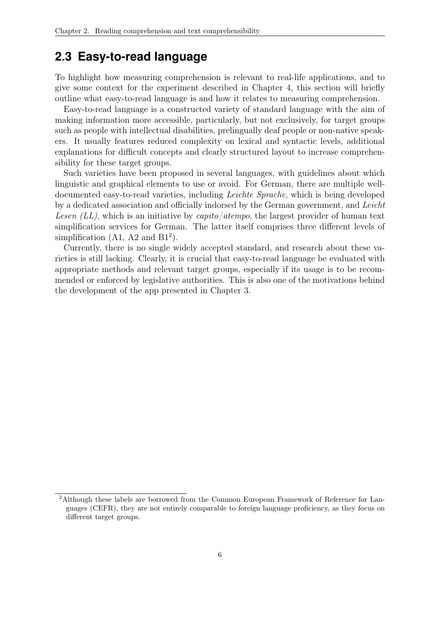#### <span id="page-13-1"></span><span id="page-13-0"></span>**2.3 Easy-to-read language**

To highlight how measuring comprehension is relevant to real-life applications, and to give some context for the experiment described in Chapter [4,](#page-20-0) this section will briefly outline what easy-to-read language is and how it relates to measuring comprehension.

Easy-to-read language is a constructed variety of standard language with the aim of making information more accessible, particularly, but not exclusively, for target groups such as people with intellectual disabilities, prelingually deaf people or non-native speakers. It usually features reduced complexity on lexical and syntactic levels, additional explanations for difficult concepts and clearly structured layout to increase comprehensibility for these target groups.

Such varieties have been proposed in several languages, with guidelines about which linguistic and graphical elements to use or avoid. For German, there are multiple welldocumented easy-to-read varieties, including Leichte Sprache, which is being developed by a dedicated association and officially indorsed by the German government, and [Leicht](#page-7-3) Lesen  $(LL)$ , which is an initiative by capito/atempo, the largest provider of human text simplification services for German. The latter itself comprises three different levels of simplification  $(A1, A2 \text{ and } B1^2)$ .

Currently, there is no single widely accepted standard, and research about these varieties is still lacking. Clearly, it is crucial that easy-to-read language be evaluated with appropriate methods and relevant target groups, especially if its usage is to be recommended or enforced by legislative authorities. This is also one of the motivations behind the development of the app presented in Chapter [3.](#page-14-0)

<sup>2</sup>Although these labels are borrowed from the [Common European Framework of Reference for Lan](#page-7-4)[guages \(CEFR\),](#page-7-4) they are not entirely comparable to foreign language proficiency, as they focus on different target groups.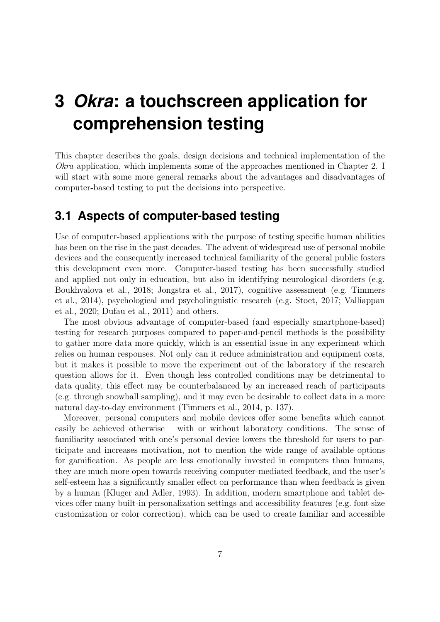# <span id="page-14-0"></span>**3** *Okra***: a touchscreen application for comprehension testing**

This chapter describes the goals, design decisions and technical implementation of the Okra application, which implements some of the approaches mentioned in Chapter [2.](#page-9-0) I will start with some more general remarks about the advantages and disadvantages of computer-based testing to put the decisions into perspective.

#### <span id="page-14-1"></span>**3.1 Aspects of computer-based testing**

Use of computer-based applications with the purpose of testing specific human abilities has been on the rise in the past decades. The advent of widespread use of personal mobile devices and the consequently increased technical familiarity of the general public fosters this development even more. Computer-based testing has been successfully studied and applied not only in education, but also in identifying neurological disorders (e.g. [Boukhvalova et al., 2018;](#page-32-11) [Jongstra et al., 2017\)](#page-34-6), cognitive assessment (e.g. [Timmers](#page-35-6) [et al., 2014\)](#page-35-6), psychological and psycholinguistic research (e.g. [Stoet, 2017;](#page-35-7) [Valliappan](#page-35-8) [et al., 2020;](#page-35-8) [Dufau et al., 2011\)](#page-33-9) and others.

The most obvious advantage of computer-based (and especially smartphone-based) testing for research purposes compared to paper-and-pencil methods is the possibility to gather more data more quickly, which is an essential issue in any experiment which relies on human responses. Not only can it reduce administration and equipment costs, but it makes it possible to move the experiment out of the laboratory if the research question allows for it. Even though less controlled conditions may be detrimental to data quality, this effect may be counterbalanced by an increased reach of participants (e.g. through snowball sampling), and it may even be desirable to collect data in a more natural day-to-day environment [\(Timmers et al., 2014,](#page-35-6) p. 137).

Moreover, personal computers and mobile devices offer some benefits which cannot easily be achieved otherwise – with or without laboratory conditions. The sense of familiarity associated with one's personal device lowers the threshold for users to participate and increases motivation, not to mention the wide range of available options for gamification. As people are less emotionally invested in computers than humans, they are much more open towards receiving computer-mediated feedback, and the user's self-esteem has a significantly smaller effect on performance than when feedback is given by a human [\(Kluger and Adler, 1993\)](#page-34-7). In addition, modern smartphone and tablet devices offer many built-in personalization settings and accessibility features (e.g. font size customization or color correction), which can be used to create familiar and accessible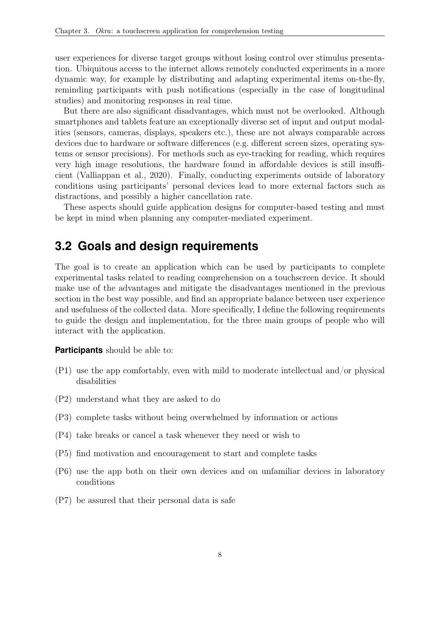user experiences for diverse target groups without losing control over stimulus presentation. Ubiquitous access to the internet allows remotely conducted experiments in a more dynamic way, for example by distributing and adapting experimental items on-the-fly, reminding participants with push notifications (especially in the case of longitudinal studies) and monitoring responses in real time.

But there are also significant disadvantages, which must not be overlooked. Although smartphones and tablets feature an exceptionally diverse set of input and output modalities (sensors, cameras, displays, speakers etc.), these are not always comparable across devices due to hardware or software differences (e.g. different screen sizes, operating systems or sensor precisions). For methods such as eye-tracking for reading, which requires very high image resolutions, the hardware found in affordable devices is still insufficient [\(Valliappan et al., 2020\)](#page-35-8). Finally, conducting experiments outside of laboratory conditions using participants' personal devices lead to more external factors such as distractions, and possibly a higher cancellation rate.

These aspects should guide application designs for computer-based testing and must be kept in mind when planning any computer-mediated experiment.

#### <span id="page-15-0"></span>**3.2 Goals and design requirements**

The goal is to create an application which can be used by participants to complete experimental tasks related to reading comprehension on a touchscreen device. It should make use of the advantages and mitigate the disadvantages mentioned in the previous section in the best way possible, and find an appropriate balance between user experience and usefulness of the collected data. More specifically, I define the following requirements to guide the design and implementation, for the three main groups of people who will interact with the application.

#### **Participants** should be able to:

- <span id="page-15-7"></span>(P1) use the app comfortably, even with mild to moderate intellectual and/or physical disabilities
- <span id="page-15-3"></span>(P2) understand what they are asked to do
- <span id="page-15-4"></span>(P3) complete tasks without being overwhelmed by information or actions
- <span id="page-15-6"></span>(P4) take breaks or cancel a task whenever they need or wish to
- <span id="page-15-5"></span>(P5) find motivation and encouragement to start and complete tasks
- <span id="page-15-1"></span>(P6) use the app both on their own devices and on unfamiliar devices in laboratory conditions
- <span id="page-15-2"></span>(P7) be assured that their personal data is safe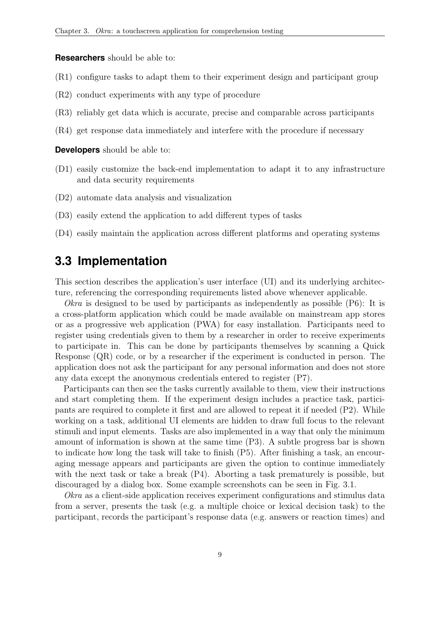<span id="page-16-1"></span>**Researchers** should be able to:

- <span id="page-16-8"></span>(R1) configure tasks to adapt them to their experiment design and participant group
- <span id="page-16-4"></span>(R2) conduct experiments with any type of procedure
- <span id="page-16-6"></span>(R3) reliably get data which is accurate, precise and comparable across participants
- <span id="page-16-3"></span>(R4) get response data immediately and interfere with the procedure if necessary

**Developers** should be able to:

- <span id="page-16-2"></span>(D1) easily customize the back-end implementation to adapt it to any infrastructure and data security requirements
- (D2) automate data analysis and visualization
- <span id="page-16-7"></span>(D3) easily extend the application to add different types of tasks
- <span id="page-16-5"></span>(D4) easily maintain the application across different platforms and operating systems

#### <span id="page-16-0"></span>**3.3 Implementation**

This section describes the application's [user interface \(UI\)](#page-7-5) and its underlying architecture, referencing the corresponding requirements listed above whenever applicable.

*Okra* is designed to be used by participants as independently as possible  $(P6)$ : It is a cross-platform application which could be made available on mainstream app stores or as a [progressive web application \(PWA\)](#page-7-6) for easy installation. Participants need to register using credentials given to them by a researcher in order to receive experiments to participate in. This can be done by participants themselves by scanning a [Quick](#page-7-7) [Response \(QR\)](#page-7-7) code, or by a researcher if the experiment is conducted in person. The application does not ask the participant for any personal information and does not store any data except the anonymous credentials entered to register [\(P7\).](#page-15-2)

Participants can then see the tasks currently available to them, view their instructions and start completing them. If the experiment design includes a practice task, participants are required to complete it first and are allowed to repeat it if needed [\(P2\).](#page-15-3) While working on a task, additional [UI](#page-7-5) elements are hidden to draw full focus to the relevant stimuli and input elements. Tasks are also implemented in a way that only the minimum amount of information is shown at the same time [\(P3\).](#page-15-4) A subtle progress bar is shown to indicate how long the task will take to finish [\(P5\).](#page-15-5) After finishing a task, an encouraging message appears and participants are given the option to continue immediately with the next task or take a break [\(P4\).](#page-15-6) Aborting a task prematurely is possible, but discouraged by a dialog box. Some example screenshots can be seen in Fig. [3.1.](#page-17-0)

Okra as a client-side application receives experiment configurations and stimulus data from a server, presents the task (e.g. a multiple choice or lexical decision task) to the participant, records the participant's response data (e.g. answers or reaction times) and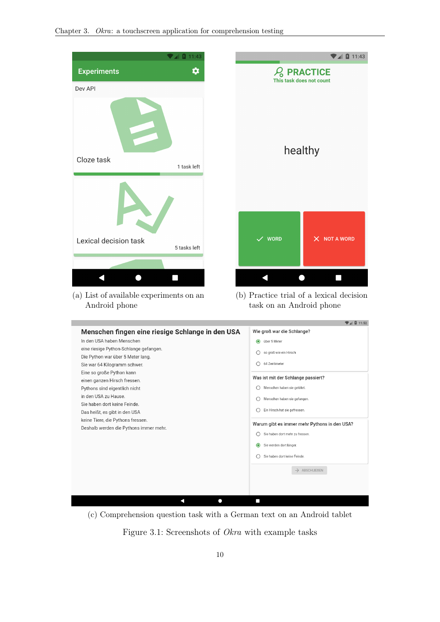Android phone

<span id="page-17-0"></span>

|                                         | 11:43        |                   | $\n  4 0 11:43$                          |
|-----------------------------------------|--------------|-------------------|------------------------------------------|
| <b>Experiments</b>                      | ✿            |                   | <b>PRACTICE</b>                          |
| Dev API                                 |              |                   | This task does not count                 |
| Cloze task<br>1 task left               |              |                   | healthy                                  |
| Lexical decision task                   | 5 tasks left | $\checkmark$ WORD | X NOT A WORD                             |
|                                         |              |                   |                                          |
|                                         |              |                   | $\blacksquare$                           |
| (a) List of available experiments on an |              |                   | (b) Practice trial of a lexical decision |

(b) Practice trial of a lexical decision task on an Android phone

|                                                  | $\blacktriangledown$ 4 $\blacksquare$ 11.52  |
|--------------------------------------------------|----------------------------------------------|
| Menschen fingen eine riesige Schlange in den USA | Wie groß war die Schlange?                   |
| In den USA haben Menschen                        | $\odot$<br>über 5 Meter                      |
| eine riesige Python-Schlange gefangen.           | so groß wie ein Hirsch                       |
| Die Python war über 5 Meter lang.                |                                              |
| Sie war 64 Kilogramm schwer.                     | 64 Zentimeter                                |
| Eine so große Python kann                        |                                              |
| einen ganzen Hirsch fressen.                     | Was ist mit der Schlange passiert?           |
| Pythons sind eigentlich nicht                    | Menschen haben sie getötet.                  |
| in den USA zu Hause.                             | Menschen haben sie gefangen.                 |
| Sie haben dort keine Feinde.                     |                                              |
| Das heißt, es gibt in den USA                    | Ein Hirsch hat sie gefressen.                |
| keine Tiere, die Pythons fressen.                | Warum gibt es immer mehr Pythons in den USA? |
| Deshalb werden die Pythons immer mehr.           |                                              |
|                                                  | Sie haben dort mehr zu fressen.              |
|                                                  | Sie werden dort länger.<br>$\odot$           |
|                                                  | Sie haben dort keine Feinde.                 |
|                                                  |                                              |
|                                                  | $\rightarrow$ ABSCHLIEßEN                    |
|                                                  |                                              |
|                                                  |                                              |
|                                                  |                                              |
|                                                  |                                              |
|                                                  |                                              |

(c) Comprehension question task with a German text on an Android tablet

Figure 3.1: Screenshots of Okra with example tasks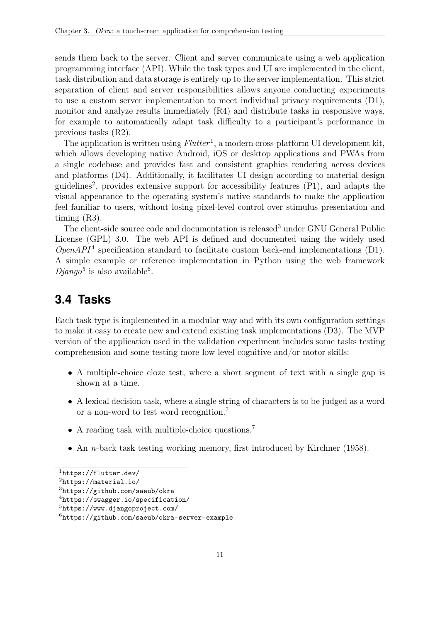<span id="page-18-1"></span>sends them back to the server. Client and server communicate using a web [application](#page-7-8) [programming interface \(API\).](#page-7-8) While the task types and [UI](#page-7-5) are implemented in the client, task distribution and data storage is entirely up to the server implementation. This strict separation of client and server responsibilities allows anyone conducting experiments to use a custom server implementation to meet individual privacy requirements [\(D1\),](#page-16-2) monitor and analyze results immediately [\(R4\)](#page-16-3) and distribute tasks in responsive ways, for example to automatically adapt task difficulty to a participant's performance in previous tasks [\(R2\).](#page-16-4)

The application is written using  $Flutter<sup>1</sup>$ , a modern cross-platform [UI](#page-7-5) development kit, which allows developing native Android, iOS or desktop applications and [PWAs](#page-7-6) from a single codebase and provides fast and consistent graphics rendering across devices and platforms [\(D4\).](#page-16-5) Additionally, it facilitates [UI](#page-7-5) design according to material design guidelines<sup>2</sup>, provides extensive support for accessibility features [\(P1\),](#page-15-7) and adapts the visual appearance to the operating system's native standards to make the application feel familiar to users, without losing pixel-level control over stimulus presentation and timing [\(R3\).](#page-16-6)

The client-side source code and documentation is released<sup>3</sup> under [GNU General Public](#page-7-9) [License \(GPL\)](#page-7-9) 3.0. The web [API](#page-7-8) is defined and documented using the widely used  $OpenAPI<sup>4</sup> specification standard to facilitate custom back-end implementations (D1).$  $OpenAPI<sup>4</sup> specification standard to facilitate custom back-end implementations (D1).$ A simple example or reference implementation in Python using the web framework  $Django<sup>5</sup>$  is also available<sup>6</sup>.

### <span id="page-18-0"></span>**3.4 Tasks**

Each task type is implemented in a modular way and with its own configuration settings to make it easy to create new and extend existing task implementations [\(D3\).](#page-16-7) The [MVP](#page-7-1) version of the application used in the validation experiment includes some tasks testing comprehension and some testing more low-level cognitive and/or motor skills:

- A multiple-choice cloze test, where a short segment of text with a single gap is shown at a time.
- A lexical decision task, where a single string of characters is to be judged as a word or a non-word to test word recognition.<sup>7</sup>
- A reading task with multiple-choice questions.<sup>7</sup>
- An *n*-back task testing working memory, first introduced by [Kirchner](#page-34-8) [\(1958\)](#page-34-8).

<sup>1</sup><https://flutter.dev/>

<sup>2</sup><https://material.io/>

<sup>3</sup><https://github.com/saeub/okra>

<sup>4</sup><https://swagger.io/specification/>

<sup>5</sup><https://www.djangoproject.com/>

<sup>6</sup><https://github.com/saeub/okra-server-example>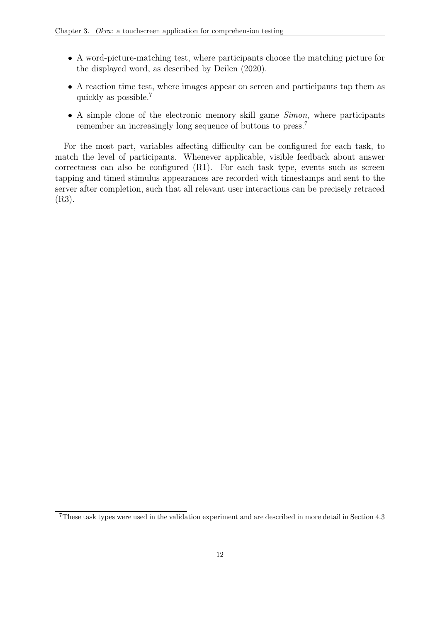- A word-picture-matching test, where participants choose the matching picture for the displayed word, as described by [Deilen](#page-32-12) [\(2020\)](#page-32-12).
- A reaction time test, where images appear on screen and participants tap them as quickly as possible.<sup>7</sup>
- A simple clone of the electronic memory skill game *Simon*, where participants remember an increasingly long sequence of buttons to press.<sup>7</sup>

For the most part, variables affecting difficulty can be configured for each task, to match the level of participants. Whenever applicable, visible feedback about answer correctness can also be configured [\(R1\).](#page-16-8) For each task type, events such as screen tapping and timed stimulus appearances are recorded with timestamps and sent to the server after completion, such that all relevant user interactions can be precisely retraced [\(R3\).](#page-16-6)

<sup>7</sup>These task types were used in the validation experiment and are described in more detail in Section [4.3](#page-22-0)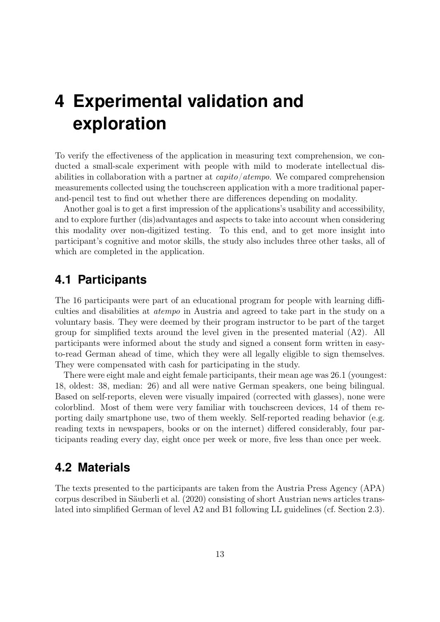# <span id="page-20-3"></span><span id="page-20-0"></span>**4 Experimental validation and exploration**

To verify the effectiveness of the application in measuring text comprehension, we conducted a small-scale experiment with people with mild to moderate intellectual disabilities in collaboration with a partner at  $capito/atempo$ . We compared comprehension measurements collected using the touchscreen application with a more traditional paperand-pencil test to find out whether there are differences depending on modality.

Another goal is to get a first impression of the applications's usability and accessibility, and to explore further (dis)advantages and aspects to take into account when considering this modality over non-digitized testing. To this end, and to get more insight into participant's cognitive and motor skills, the study also includes three other tasks, all of which are completed in the application.

### <span id="page-20-1"></span>**4.1 Participants**

The 16 participants were part of an educational program for people with learning difficulties and disabilities at atempo in Austria and agreed to take part in the study on a voluntary basis. They were deemed by their program instructor to be part of the target group for simplified texts around the level given in the presented material (A2). All participants were informed about the study and signed a consent form written in easyto-read German ahead of time, which they were all legally eligible to sign themselves. They were compensated with cash for participating in the study.

There were eight male and eight female participants, their mean age was 26.1 (youngest: 18, oldest: 38, median: 26) and all were native German speakers, one being bilingual. Based on self-reports, eleven were visually impaired (corrected with glasses), none were colorblind. Most of them were very familiar with touchscreen devices, 14 of them reporting daily smartphone use, two of them weekly. Self-reported reading behavior (e.g. reading texts in newspapers, books or on the internet) differed considerably, four participants reading every day, eight once per week or more, five less than once per week.

### <span id="page-20-2"></span>**4.2 Materials**

The texts presented to the participants are taken from the [Austria Press Agency \(APA\)](#page-7-10) corpus described in [Säuberli et al.](#page-35-9) [\(2020\)](#page-35-9) consisting of short Austrian news articles translated into simplified German of level A2 and B1 following [LL](#page-7-3) guidelines (cf. Section [2.3\)](#page-13-0).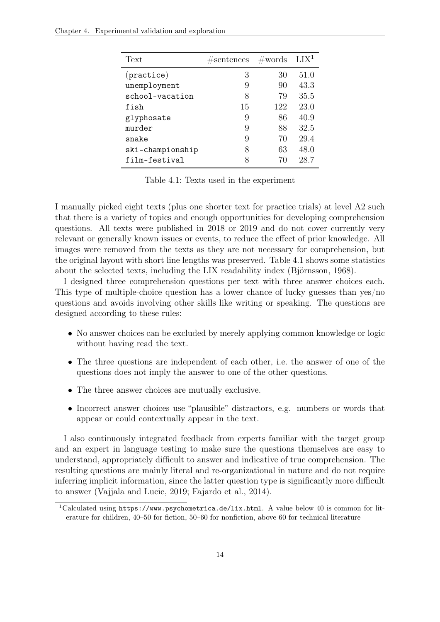<span id="page-21-0"></span>

| Text             | #sentences | $\#\text{words}$ | LIX <sup>1</sup> |
|------------------|------------|------------------|------------------|
| (praction)       | 3          | 30               | 51.0             |
| unemployment     | 9          | 90               | 43.3             |
| school-vacation  | 8          | 79               | 35.5             |
| fish             | 15         | 122              | 23.0             |
| glyphosate       | 9          | 86               | 40.9             |
| murder           | 9          | 88               | 32.5             |
| snake            | 9          | 70               | 29.4             |
| ski-championship | 8          | 63               | 48.0             |
| film-festival    | 8          | 70               | 28.7             |

Table 4.1: Texts used in the experiment

I manually picked eight texts (plus one shorter text for practice trials) at level A2 such that there is a variety of topics and enough opportunities for developing comprehension questions. All texts were published in 2018 or 2019 and do not cover currently very relevant or generally known issues or events, to reduce the effect of prior knowledge. All images were removed from the texts as they are not necessary for comprehension, but the original layout with short line lengths was preserved. Table [4.1](#page-21-0) shows some statistics about the selected texts, including the LIX readability index [\(Björnsson, 1968\)](#page-32-3).

I designed three comprehension questions per text with three answer choices each. This type of multiple-choice question has a lower chance of lucky guesses than yes/no questions and avoids involving other skills like writing or speaking. The questions are designed according to these rules:

- No answer choices can be excluded by merely applying common knowledge or logic without having read the text.
- The three questions are independent of each other, i.e. the answer of one of the questions does not imply the answer to one of the other questions.
- The three answer choices are mutually exclusive.
- Incorrect answer choices use "plausible" distractors, e.g. numbers or words that appear or could contextually appear in the text.

I also continuously integrated feedback from experts familiar with the target group and an expert in language testing to make sure the questions themselves are easy to understand, appropriately difficult to answer and indicative of true comprehension. The resulting questions are mainly literal and re-organizational in nature and do not require inferring implicit information, since the latter question type is significantly more difficult to answer [\(Vajjala and Lucic, 2019;](#page-35-2) [Fajardo et al., 2014\)](#page-33-10).

<sup>&</sup>lt;sup>1</sup>Calculated using <https://www.psychometrica.de/lix.html>. A value below 40 is common for literature for children, 40–50 for fiction, 50–60 for nonfiction, above 60 for technical literature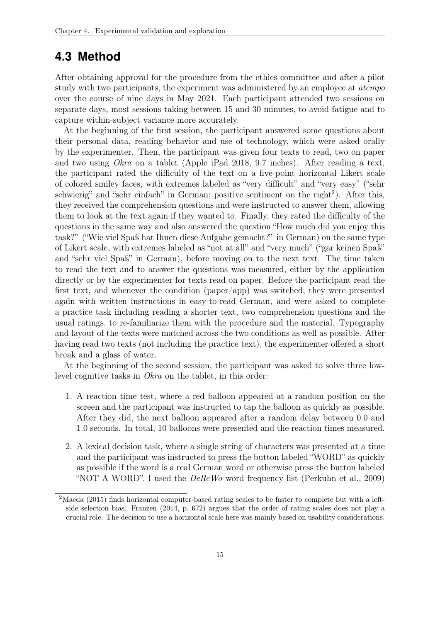#### <span id="page-22-0"></span>**4.3 Method**

After obtaining approval for the procedure from the ethics committee and after a pilot study with two participants, the experiment was administered by an employee at atempo over the course of nine days in May 2021. Each participant attended two sessions on separate days, most sessions taking between 15 and 30 minutes, to avoid fatigue and to capture within-subject variance more accurately.

At the beginning of the first session, the participant answered some questions about their personal data, reading behavior and use of technology, which were asked orally by the experimenter. Then, the participant was given four texts to read, two on paper and two using Okra on a tablet (Apple iPad 2018, 9.7 inches). After reading a text, the participant rated the difficulty of the text on a five-point horizontal Likert scale of colored smiley faces, with extremes labeled as "very difficult" and "very easy" ("sehr schwierig" and "sehr einfach" in German; positive sentiment on the right<sup>2</sup>). After this, they received the comprehension questions and were instructed to answer them, allowing them to look at the text again if they wanted to. Finally, they rated the difficulty of the questions in the same way and also answered the question "How much did you enjoy this task?" ("Wie viel Spaß hat Ihnen diese Aufgabe gemacht?" in German) on the same type of Likert scale, with extremes labeled as "not at all" and "very much" ("gar keinen Spaß" and "sehr viel Spaß" in German), before moving on to the next text. The time taken to read the text and to answer the questions was measured, either by the application directly or by the experimenter for texts read on paper. Before the participant read the first text, and whenever the condition (paper/app) was switched, they were presented again with written instructions in easy-to-read German, and were asked to complete a practice task including reading a shorter text, two comprehension questions and the usual ratings, to re-familiarize them with the procedure and the material. Typography and layout of the texts were matched across the two conditions as well as possible. After having read two texts (not including the practice text), the experimenter offered a short break and a glass of water.

At the beginning of the second session, the participant was asked to solve three lowlevel cognitive tasks in Okra on the tablet, in this order:

- 1. A reaction time test, where a red balloon appeared at a random position on the screen and the participant was instructed to tap the balloon as quickly as possible. After they did, the next balloon appeared after a random delay between 0.0 and 1.0 seconds. In total, 10 balloons were presented and the reaction times measured.
- 2. A lexical decision task, where a single string of characters was presented at a time and the participant was instructed to press the button labeled "WORD" as quickly as possible if the word is a real German word or otherwise press the button labeled "NOT A WORD". I used the  $DeReWo$  word frequency list [\(Perkuhn et al., 2009\)](#page-34-9)

<sup>2</sup>[Maeda](#page-34-10) [\(2015\)](#page-34-10) finds horizontal computer-based rating scales to be faster to complete but with a leftside selection bias. [Franzen](#page-33-11) [\(2014,](#page-33-11) p. 672) argues that the order of rating scales does not play a crucial role. The decision to use a horizontal scale here was mainly based on usability considerations.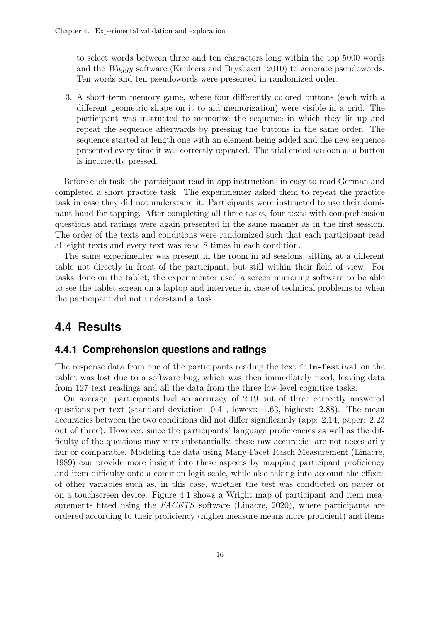to select words between three and ten characters long within the top 5000 words and the Wuggy software [\(Keuleers and Brysbaert, 2010\)](#page-34-11) to generate pseudowords. Ten words and ten pseudowords were presented in randomized order.

3. A short-term memory game, where four differently colored buttons (each with a different geometric shape on it to aid memorization) were visible in a grid. The participant was instructed to memorize the sequence in which they lit up and repeat the sequence afterwards by pressing the buttons in the same order. The sequence started at length one with an element being added and the new sequence presented every time it was correctly repeated. The trial ended as soon as a button is incorrectly pressed.

Before each task, the participant read in-app instructions in easy-to-read German and completed a short practice task. The experimenter asked them to repeat the practice task in case they did not understand it. Participants were instructed to use their dominant hand for tapping. After completing all three tasks, four texts with comprehension questions and ratings were again presented in the same manner as in the first session. The order of the texts and conditions were randomized such that each participant read all eight texts and every text was read 8 times in each condition.

The same experimenter was present in the room in all sessions, sitting at a different table not directly in front of the participant, but still within their field of view. For tasks done on the tablet, the experimenter used a screen mirroring software to be able to see the tablet screen on a laptop and intervene in case of technical problems or when the participant did not understand a task.

### <span id="page-23-0"></span>**4.4 Results**

#### <span id="page-23-1"></span>**4.4.1 Comprehension questions and ratings**

The response data from one of the participants reading the text film-festival on the tablet was lost due to a software bug, which was then immediately fixed, leaving data from 127 text readings and all the data from the three low-level cognitive tasks.

On average, participants had an accuracy of 2.19 out of three correctly answered questions per text (standard deviation: 0.41, lowest: 1.63, highest: 2.88). The mean accuracies between the two conditions did not differ significantly (app: 2.14, paper: 2.23 out of three). However, since the participants' language proficiencies as well as the difficulty of the questions may vary substantially, these raw accuracies are not necessarily fair or comparable. Modeling the data using Many-Facet Rasch Measurement [\(Linacre,](#page-34-12) [1989\)](#page-34-12) can provide more insight into these aspects by mapping participant proficiency and item difficulty onto a common logit scale, while also taking into account the effects of other variables such as, in this case, whether the test was conducted on paper or on a touchscreen device. Figure [4.1](#page-25-0) shows a Wright map of participant and item mea-surements fitted using the FACETS software [\(Linacre, 2020\)](#page-34-13), where participants are ordered according to their proficiency (higher measure means more proficient) and items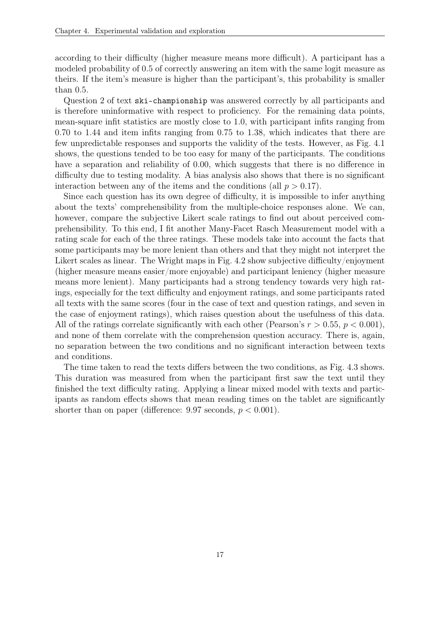according to their difficulty (higher measure means more difficult). A participant has a modeled probability of 0.5 of correctly answering an item with the same logit measure as theirs. If the item's measure is higher than the participant's, this probability is smaller than 0.5.

Question 2 of text ski-championship was answered correctly by all participants and is therefore uninformative with respect to proficiency. For the remaining data points, mean-square infit statistics are mostly close to 1.0, with participant infits ranging from 0.70 to 1.44 and item infits ranging from 0.75 to 1.38, which indicates that there are few unpredictable responses and supports the validity of the tests. However, as Fig. [4.1](#page-25-0) shows, the questions tended to be too easy for many of the participants. The conditions have a separation and reliability of 0.00, which suggests that there is no difference in difficulty due to testing modality. A bias analysis also shows that there is no significant interaction between any of the items and the conditions (all  $p > 0.17$ ).

Since each question has its own degree of difficulty, it is impossible to infer anything about the texts' comprehensibility from the multiple-choice responses alone. We can, however, compare the subjective Likert scale ratings to find out about perceived comprehensibility. To this end, I fit another Many-Facet Rasch Measurement model with a rating scale for each of the three ratings. These models take into account the facts that some participants may be more lenient than others and that they might not interpret the Likert scales as linear. The Wright maps in Fig. [4.2](#page-26-0) show subjective difficulty/enjoyment (higher measure means easier/more enjoyable) and participant leniency (higher measure means more lenient). Many participants had a strong tendency towards very high ratings, especially for the text difficulty and enjoyment ratings, and some participants rated all texts with the same scores (four in the case of text and question ratings, and seven in the case of enjoyment ratings), which raises question about the usefulness of this data. All of the ratings correlate significantly with each other (Pearson's  $r > 0.55$ ,  $p < 0.001$ ), and none of them correlate with the comprehension question accuracy. There is, again, no separation between the two conditions and no significant interaction between texts and conditions.

The time taken to read the texts differs between the two conditions, as Fig. [4.3](#page-27-2) shows. This duration was measured from when the participant first saw the text until they finished the text difficulty rating. Applying a linear mixed model with texts and participants as random effects shows that mean reading times on the tablet are significantly shorter than on paper (difference: 9.97 seconds,  $p < 0.001$ ).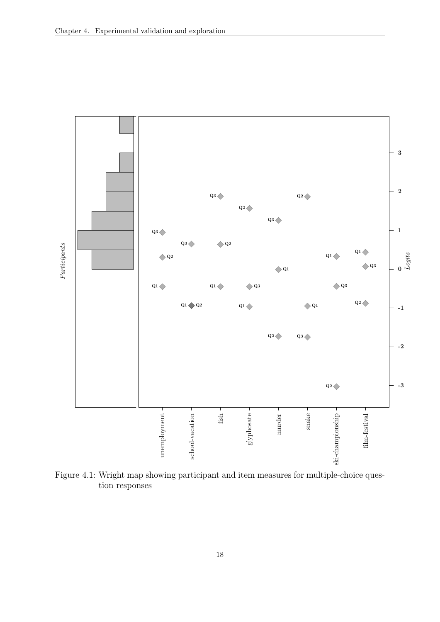<span id="page-25-0"></span>

Figure 4.1: Wright map showing participant and item measures for multiple-choice question responses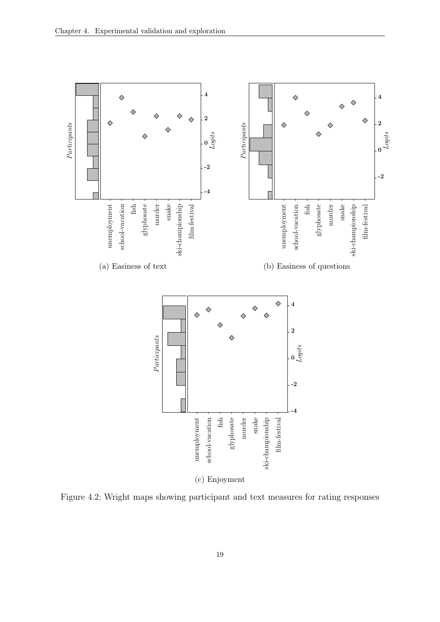<span id="page-26-0"></span>

Figure 4.2: Wright maps showing participant and text measures for rating responses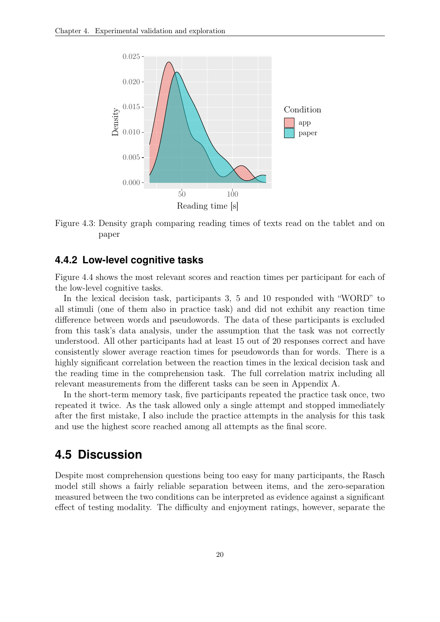<span id="page-27-2"></span>

Figure 4.3: Density graph comparing reading times of texts read on the tablet and on paper

#### <span id="page-27-0"></span>**4.4.2 Low-level cognitive tasks**

Figure [4.4](#page-28-0) shows the most relevant scores and reaction times per participant for each of the low-level cognitive tasks.

In the lexical decision task, participants 3, 5 and 10 responded with "WORD" to all stimuli (one of them also in practice task) and did not exhibit any reaction time difference between words and pseudowords. The data of these participants is excluded from this task's data analysis, under the assumption that the task was not correctly understood. All other participants had at least 15 out of 20 responses correct and have consistently slower average reaction times for pseudowords than for words. There is a highly significant correlation between the reaction times in the lexical decision task and the reading time in the comprehension task. The full correlation matrix including all relevant measurements from the different tasks can be seen in Appendix [A.](#page-36-0)

In the short-term memory task, five participants repeated the practice task once, two repeated it twice. As the task allowed only a single attempt and stopped immediately after the first mistake, I also include the practice attempts in the analysis for this task and use the highest score reached among all attempts as the final score.

#### <span id="page-27-1"></span>**4.5 Discussion**

Despite most comprehension questions being too easy for many participants, the Rasch model still shows a fairly reliable separation between items, and the zero-separation measured between the two conditions can be interpreted as evidence against a significant effect of testing modality. The difficulty and enjoyment ratings, however, separate the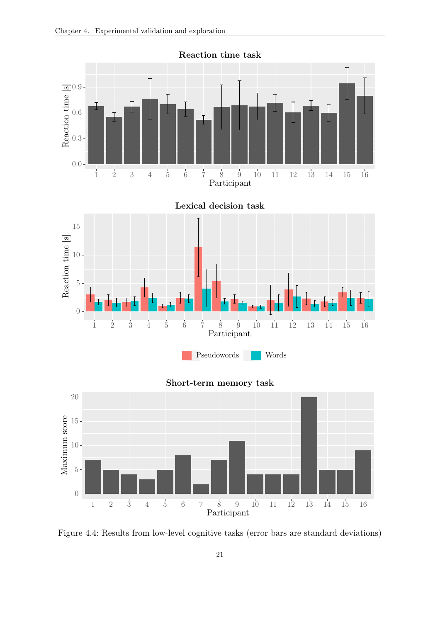<span id="page-28-0"></span>

Figure 4.4: Results from low-level cognitive tasks (error bars are standard deviations)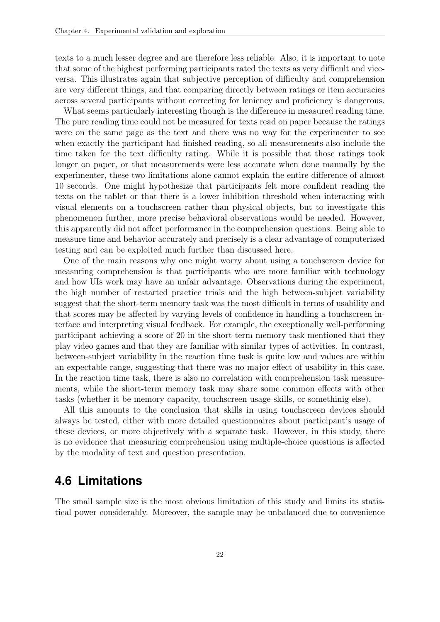<span id="page-29-1"></span>texts to a much lesser degree and are therefore less reliable. Also, it is important to note that some of the highest performing participants rated the texts as very difficult and viceversa. This illustrates again that subjective perception of difficulty and comprehension are very different things, and that comparing directly between ratings or item accuracies across several participants without correcting for leniency and proficiency is dangerous.

What seems particularly interesting though is the difference in measured reading time. The pure reading time could not be measured for texts read on paper because the ratings were on the same page as the text and there was no way for the experimenter to see when exactly the participant had finished reading, so all measurements also include the time taken for the text difficulty rating. While it is possible that those ratings took longer on paper, or that measurements were less accurate when done manually by the experimenter, these two limitations alone cannot explain the entire difference of almost 10 seconds. One might hypothesize that participants felt more confident reading the texts on the tablet or that there is a lower inhibition threshold when interacting with visual elements on a touchscreen rather than physical objects, but to investigate this phenomenon further, more precise behavioral observations would be needed. However, this apparently did not affect performance in the comprehension questions. Being able to measure time and behavior accurately and precisely is a clear advantage of computerized testing and can be exploited much further than discussed here.

One of the main reasons why one might worry about using a touchscreen device for measuring comprehension is that participants who are more familiar with technology and how [UIs](#page-7-5) work may have an unfair advantage. Observations during the experiment, the high number of restarted practice trials and the high between-subject variability suggest that the short-term memory task was the most difficult in terms of usability and that scores may be affected by varying levels of confidence in handling a touchscreen interface and interpreting visual feedback. For example, the exceptionally well-performing participant achieving a score of 20 in the short-term memory task mentioned that they play video games and that they are familiar with similar types of activities. In contrast, between-subject variability in the reaction time task is quite low and values are within an expectable range, suggesting that there was no major effect of usability in this case. In the reaction time task, there is also no correlation with comprehension task measurements, while the short-term memory task may share some common effects with other tasks (whether it be memory capacity, touchscreen usage skills, or somethinig else).

All this amounts to the conclusion that skills in using touchscreen devices should always be tested, either with more detailed questionnaires about participant's usage of these devices, or more objectively with a separate task. However, in this study, there is no evidence that measuring comprehension using multiple-choice questions is affected by the modality of text and question presentation.

#### <span id="page-29-0"></span>**4.6 Limitations**

The small sample size is the most obvious limitation of this study and limits its statistical power considerably. Moreover, the sample may be unbalanced due to convenience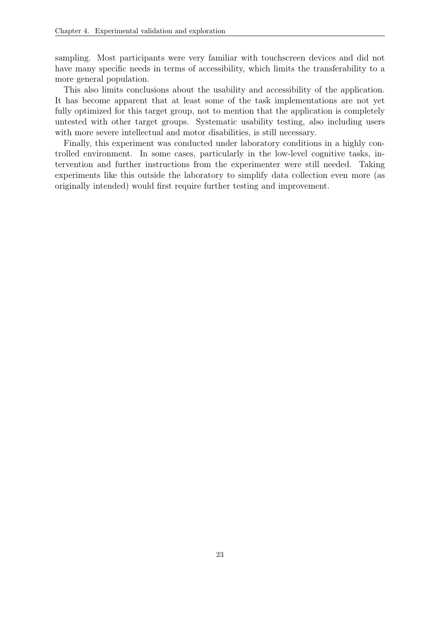sampling. Most participants were very familiar with touchscreen devices and did not have many specific needs in terms of accessibility, which limits the transferability to a more general population.

This also limits conclusions about the usability and accessibility of the application. It has become apparent that at least some of the task implementations are not yet fully optimized for this target group, not to mention that the application is completely untested with other target groups. Systematic usability testing, also including users with more severe intellectual and motor disabilities, is still necessary.

Finally, this experiment was conducted under laboratory conditions in a highly controlled environment. In some cases, particularly in the low-level cognitive tasks, intervention and further instructions from the experimenter were still needed. Taking experiments like this outside the laboratory to simplify data collection even more (as originally intended) would first require further testing and improvement.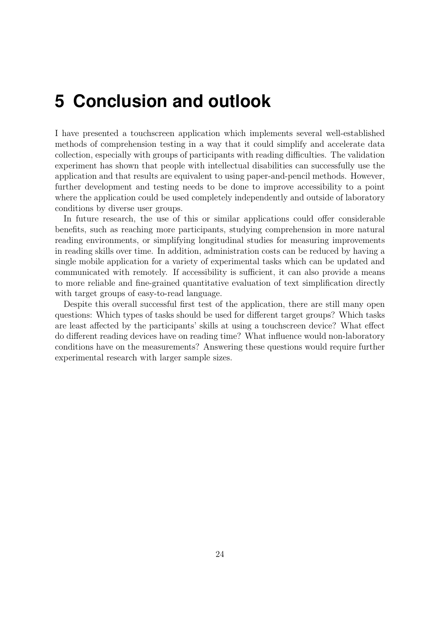## <span id="page-31-0"></span>**5 Conclusion and outlook**

I have presented a touchscreen application which implements several well-established methods of comprehension testing in a way that it could simplify and accelerate data collection, especially with groups of participants with reading difficulties. The validation experiment has shown that people with intellectual disabilities can successfully use the application and that results are equivalent to using paper-and-pencil methods. However, further development and testing needs to be done to improve accessibility to a point where the application could be used completely independently and outside of laboratory conditions by diverse user groups.

In future research, the use of this or similar applications could offer considerable benefits, such as reaching more participants, studying comprehension in more natural reading environments, or simplifying longitudinal studies for measuring improvements in reading skills over time. In addition, administration costs can be reduced by having a single mobile application for a variety of experimental tasks which can be updated and communicated with remotely. If accessibility is sufficient, it can also provide a means to more reliable and fine-grained quantitative evaluation of text simplification directly with target groups of easy-to-read language.

Despite this overall successful first test of the application, there are still many open questions: Which types of tasks should be used for different target groups? Which tasks are least affected by the participants' skills at using a touchscreen device? What effect do different reading devices have on reading time? What influence would non-laboratory conditions have on the measurements? Answering these questions would require further experimental research with larger sample sizes.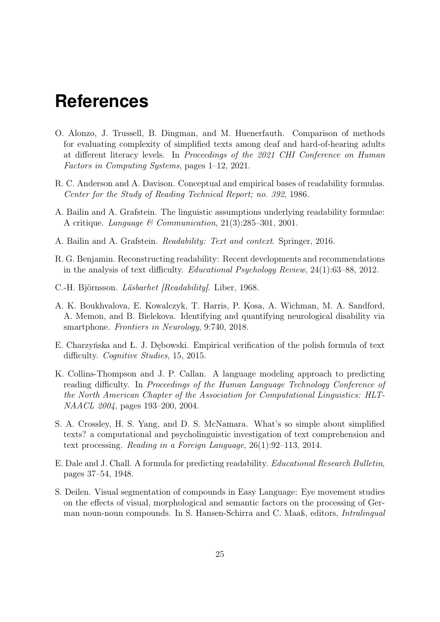## <span id="page-32-0"></span>**References**

- <span id="page-32-9"></span>O. Alonzo, J. Trussell, B. Dingman, and M. Huenerfauth. Comparison of methods for evaluating complexity of simplified texts among deaf and hard-of-hearing adults at different literacy levels. In Proceedings of the 2021 CHI Conference on Human Factors in Computing Systems, pages 1–12, 2021.
- <span id="page-32-6"></span>R. C. Anderson and A. Davison. Conceptual and empirical bases of readability formulas. Center for the Study of Reading Technical Report; no. 392, 1986.
- <span id="page-32-7"></span>A. Bailin and A. Grafstein. The linguistic assumptions underlying readability formulae: A critique. Language & Communication, 21(3):285–301, 2001.
- <span id="page-32-1"></span>A. Bailin and A. Grafstein. Readability: Text and context. Springer, 2016.
- <span id="page-32-8"></span>R. G. Benjamin. Reconstructing readability: Recent developments and recommendations in the analysis of text difficulty. Educational Psychology Review, 24(1):63–88, 2012.
- <span id="page-32-3"></span>C.-H. Björnsson. Läsbarhet [Readability]. Liber, 1968.
- <span id="page-32-11"></span>A. K. Boukhvalova, E. Kowalczyk, T. Harris, P. Kosa, A. Wichman, M. A. Sandford, A. Memon, and B. Bielekova. Identifying and quantifying neurological disability via smartphone. Frontiers in Neurology, 9:740, 2018.
- <span id="page-32-2"></span>E. Charzyńska and Ł. J. Dębowski. Empirical verification of the polish formula of text difficulty. *Cognitive Studies*, 15, 2015.
- <span id="page-32-5"></span>K. Collins-Thompson and J. P. Callan. A language modeling approach to predicting reading difficulty. In Proceedings of the Human Language Technology Conference of the North American Chapter of the Association for Computational Linguistics: HLT-NAACL 2004, pages 193–200, 2004.
- <span id="page-32-10"></span>S. A. Crossley, H. S. Yang, and D. S. McNamara. What's so simple about simplified texts? a computational and psycholinguistic investigation of text comprehension and text processing. Reading in a Foreign Language, 26(1):92–113, 2014.
- <span id="page-32-4"></span>E. Dale and J. Chall. A formula for predicting readability. Educational Research Bulletin, pages 37–54, 1948.
- <span id="page-32-12"></span>S. Deilen. Visual segmentation of compounds in Easy Language: Eye movement studies on the effects of visual, morphological and semantic factors on the processing of German noun-noun compounds. In S. Hansen-Schirra and C. Maaß, editors, Intralingual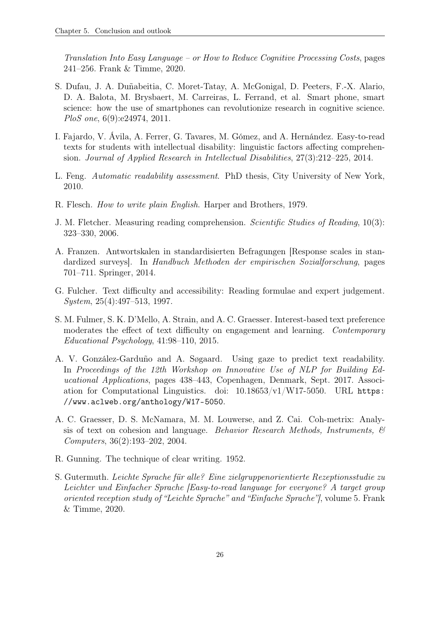Translation Into Easy Language – or How to Reduce Cognitive Processing Costs, pages 241–256. Frank & Timme, 2020.

- <span id="page-33-9"></span>S. Dufau, J. A. Duñabeitia, C. Moret-Tatay, A. McGonigal, D. Peeters, F.-X. Alario, D. A. Balota, M. Brysbaert, M. Carreiras, L. Ferrand, et al. Smart phone, smart science: how the use of smartphones can revolutionize research in cognitive science. PloS one, 6(9):e24974, 2011.
- <span id="page-33-10"></span>I. Fajardo, V. Ávila, A. Ferrer, G. Tavares, M. Gómez, and A. Hernández. Easy-to-read texts for students with intellectual disability: linguistic factors affecting comprehension. Journal of Applied Research in Intellectual Disabilities, 27(3):212–225, 2014.
- <span id="page-33-5"></span>L. Feng. Automatic readability assessment. PhD thesis, City University of New York, 2010.
- <span id="page-33-2"></span>R. Flesch. How to write plain English. Harper and Brothers, 1979.
- <span id="page-33-0"></span>J. M. Fletcher. Measuring reading comprehension. Scientific Studies of Reading, 10(3): 323–330, 2006.
- <span id="page-33-11"></span>A. Franzen. Antwortskalen in standardisierten Befragungen [Response scales in standardized surveys]. In Handbuch Methoden der empirischen Sozialforschung, pages 701–711. Springer, 2014.
- <span id="page-33-1"></span>G. Fulcher. Text difficulty and accessibility: Reading formulae and expert judgement. System, 25(4):497–513, 1997.
- <span id="page-33-6"></span>S. M. Fulmer, S. K. D'Mello, A. Strain, and A. C. Graesser. Interest-based text preference moderates the effect of text difficulty on engagement and learning. Contemporary Educational Psychology, 41:98–110, 2015.
- <span id="page-33-7"></span>A. V. González-Garduño and A. Søgaard. Using gaze to predict text readability. In Proceedings of the 12th Workshop on Innovative Use of NLP for Building Educational Applications, pages 438–443, Copenhagen, Denmark, Sept. 2017. Association for Computational Linguistics. doi: 10.18653/v1/W17-5050. URL [https:](https://www.aclweb.org/anthology/W17-5050) [//www.aclweb.org/anthology/W17-5050](https://www.aclweb.org/anthology/W17-5050).
- <span id="page-33-4"></span>A. C. Graesser, D. S. McNamara, M. M. Louwerse, and Z. Cai. Coh-metrix: Analysis of text on cohesion and language. Behavior Research Methods, Instruments,  $\mathcal{C}$ Computers, 36(2):193–202, 2004.
- <span id="page-33-3"></span>R. Gunning. The technique of clear writing. 1952.
- <span id="page-33-8"></span>S. Gutermuth. Leichte Sprache für alle? Eine zielgruppenorientierte Rezeptionsstudie zu Leichter und Einfacher Sprache [Easy-to-read language for everyone? A target group oriented reception study of "Leichte Sprache" and "Einfache Sprache"], volume 5. Frank & Timme, 2020.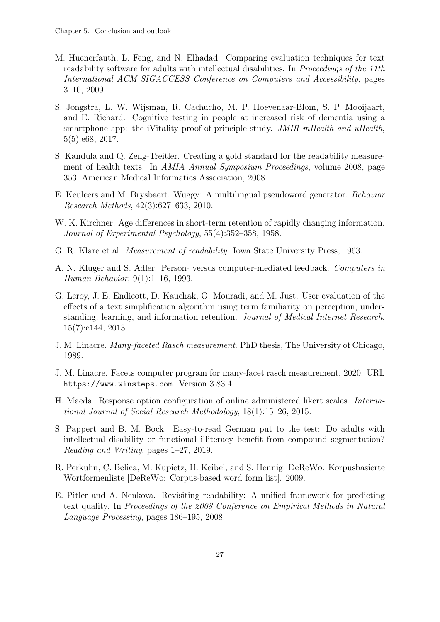- <span id="page-34-3"></span>M. Huenerfauth, L. Feng, and N. Elhadad. Comparing evaluation techniques for text readability software for adults with intellectual disabilities. In Proceedings of the 11th International ACM SIGACCESS Conference on Computers and Accessibility, pages 3–10, 2009.
- <span id="page-34-6"></span>S. Jongstra, L. W. Wijsman, R. Cachucho, M. P. Hoevenaar-Blom, S. P. Mooijaart, and E. Richard. Cognitive testing in people at increased risk of dementia using a smartphone app: the iVitality proof-of-principle study. JMIR mHealth and uHealth, 5(5):e68, 2017.
- <span id="page-34-2"></span>S. Kandula and Q. Zeng-Treitler. Creating a gold standard for the readability measurement of health texts. In AMIA Annual Symposium Proceedings, volume 2008, page 353. American Medical Informatics Association, 2008.
- <span id="page-34-11"></span>E. Keuleers and M. Brysbaert. Wuggy: A multilingual pseudoword generator. Behavior Research Methods, 42(3):627–633, 2010.
- <span id="page-34-8"></span>W. K. Kirchner. Age differences in short-term retention of rapidly changing information. Journal of Experimental Psychology, 55(4):352–358, 1958.
- <span id="page-34-1"></span>G. R. Klare et al. Measurement of readability. Iowa State University Press, 1963.
- <span id="page-34-7"></span>A. N. Kluger and S. Adler. Person- versus computer-mediated feedback. Computers in Human Behavior, 9(1):1–16, 1993.
- <span id="page-34-4"></span>G. Leroy, J. E. Endicott, D. Kauchak, O. Mouradi, and M. Just. User evaluation of the effects of a text simplification algorithm using term familiarity on perception, understanding, learning, and information retention. Journal of Medical Internet Research, 15(7):e144, 2013.
- <span id="page-34-12"></span>J. M. Linacre. Many-faceted Rasch measurement. PhD thesis, The University of Chicago, 1989.
- <span id="page-34-13"></span>J. M. Linacre. Facets computer program for many-facet rasch measurement, 2020. URL <https://www.winsteps.com>. Version 3.83.4.
- <span id="page-34-10"></span>H. Maeda. Response option configuration of online administered likert scales. International Journal of Social Research Methodology, 18(1):15–26, 2015.
- <span id="page-34-5"></span>S. Pappert and B. M. Bock. Easy-to-read German put to the test: Do adults with intellectual disability or functional illiteracy benefit from compound segmentation? Reading and Writing, pages 1–27, 2019.
- <span id="page-34-9"></span>R. Perkuhn, C. Belica, M. Kupietz, H. Keibel, and S. Hennig. DeReWo: Korpusbasierte Wortformenliste [DeReWo: Corpus-based word form list]. 2009.
- <span id="page-34-0"></span>E. Pitler and A. Nenkova. Revisiting readability: A unified framework for predicting text quality. In Proceedings of the 2008 Conference on Empirical Methods in Natural Language Processing, pages 186–195, 2008.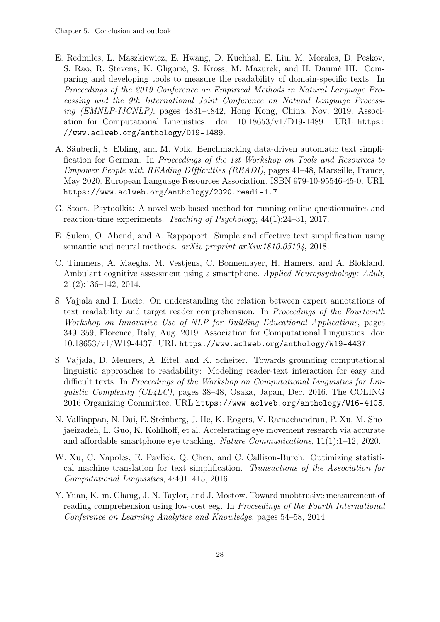- <span id="page-35-4"></span>E. Redmiles, L. Maszkiewicz, E. Hwang, D. Kuchhal, E. Liu, M. Morales, D. Peskov, S. Rao, R. Stevens, K. Gligorić, S. Kross, M. Mazurek, and H. Daumé III. Comparing and developing tools to measure the readability of domain-specific texts. In Proceedings of the 2019 Conference on Empirical Methods in Natural Language Processing and the 9th International Joint Conference on Natural Language Processing (EMNLP-IJCNLP), pages 4831–4842, Hong Kong, China, Nov. 2019. Association for Computational Linguistics. doi: 10.18653/v1/D19-1489. URL [https:](https://www.aclweb.org/anthology/D19-1489) [//www.aclweb.org/anthology/D19-1489](https://www.aclweb.org/anthology/D19-1489).
- <span id="page-35-9"></span>A. Säuberli, S. Ebling, and M. Volk. Benchmarking data-driven automatic text simplification for German. In Proceedings of the 1st Workshop on Tools and Resources to Empower People with REAding DIfficulties (READI), pages 41–48, Marseille, France, May 2020. European Language Resources Association. ISBN 979-10-95546-45-0. URL <https://www.aclweb.org/anthology/2020.readi-1.7>.
- <span id="page-35-7"></span>G. Stoet. Psytoolkit: A novel web-based method for running online questionnaires and reaction-time experiments. Teaching of Psychology, 44(1):24–31, 2017.
- <span id="page-35-1"></span>E. Sulem, O. Abend, and A. Rappoport. Simple and effective text simplification using semantic and neural methods. arXiv preprint arXiv:1810.05104, 2018.
- <span id="page-35-6"></span>C. Timmers, A. Maeghs, M. Vestjens, C. Bonnemayer, H. Hamers, and A. Blokland. Ambulant cognitive assessment using a smartphone. Applied Neuropsychology: Adult, 21(2):136–142, 2014.
- <span id="page-35-2"></span>S. Vajjala and I. Lucic. On understanding the relation between expert annotations of text readability and target reader comprehension. In Proceedings of the Fourteenth Workshop on Innovative Use of NLP for Building Educational Applications, pages 349–359, Florence, Italy, Aug. 2019. Association for Computational Linguistics. doi:  $10.18653/v1/W19-4437. \text{ URL https://www.aclweb.org/anthology/W19-4437.}$  $10.18653/v1/W19-4437. \text{ URL https://www.aclweb.org/anthology/W19-4437.}$  $10.18653/v1/W19-4437. \text{ URL https://www.aclweb.org/anthology/W19-4437.}$
- <span id="page-35-3"></span>S. Vajjala, D. Meurers, A. Eitel, and K. Scheiter. Towards grounding computational linguistic approaches to readability: Modeling reader-text interaction for easy and difficult texts. In Proceedings of the Workshop on Computational Linguistics for Linquistic Complexity (CL4LC), pages  $38-48$ , Osaka, Japan, Dec. 2016. The COLING 2016 Organizing Committee. URL <https://www.aclweb.org/anthology/W16-4105>.
- <span id="page-35-8"></span>N. Valliappan, N. Dai, E. Steinberg, J. He, K. Rogers, V. Ramachandran, P. Xu, M. Shojaeizadeh, L. Guo, K. Kohlhoff, et al. Accelerating eye movement research via accurate and affordable smartphone eye tracking. Nature Communications, 11(1):1–12, 2020.
- <span id="page-35-0"></span>W. Xu, C. Napoles, E. Pavlick, Q. Chen, and C. Callison-Burch. Optimizing statistical machine translation for text simplification. Transactions of the Association for Computational Linguistics, 4:401–415, 2016.
- <span id="page-35-5"></span>Y. Yuan, K.-m. Chang, J. N. Taylor, and J. Mostow. Toward unobtrusive measurement of reading comprehension using low-cost eeg. In Proceedings of the Fourth International Conference on Learning Analytics and Knowledge, pages 54–58, 2014.